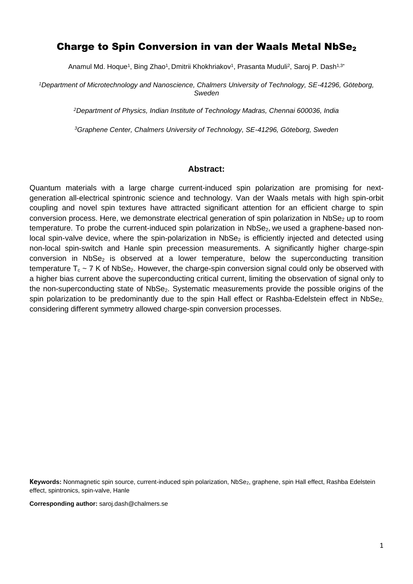## Charge to Spin Conversion in van der Waals Metal NbSe<sub>2</sub>

Anamul Md. Hoque1, Bing Zhao1, Dmitrii Khokhriakov1, Prasanta Muduli<sup>2</sup>, Saroj P. Dash<sup>1,3</sup>'

*<sup>1</sup>Department of Microtechnology and Nanoscience, Chalmers University of Technology, SE-41296, Göteborg, Sweden*

*<sup>2</sup>Department of Physics, Indian Institute of Technology Madras, Chennai 600036, India*

*<sup>3</sup>Graphene Center, Chalmers University of Technology, SE-41296, Göteborg, Sweden*

#### **Abstract:**

Quantum materials with a large charge current-induced spin polarization are promising for nextgeneration all-electrical spintronic science and technology. Van der Waals metals with high spin-orbit coupling and novel spin textures have attracted significant attention for an efficient charge to spin conversion process. Here, we demonstrate electrical generation of spin polarization in NbSe<sub>2</sub> up to room temperature. To probe the current-induced spin polarization in NbSe<sub>2</sub>, we used a graphene-based nonlocal spin-valve device, where the spin-polarization in NbSe<sub>2</sub> is efficiently injected and detected using non-local spin-switch and Hanle spin precession measurements. A significantly higher charge-spin conversion in NbSe<sub>2</sub> is observed at a lower temperature, below the superconducting transition temperature  $T_c \sim 7$  K of NbSe<sub>2</sub>. However, the charge-spin conversion signal could only be observed with a higher bias current above the superconducting critical current, limiting the observation of signal only to the non-superconducting state of NbSe<sub>2</sub>. Systematic measurements provide the possible origins of the spin polarization to be predominantly due to the spin Hall effect or Rashba-Edelstein effect in NbSe<sub>2,</sub> considering different symmetry allowed charge-spin conversion processes.

Keywords: Nonmagnetic spin source, current-induced spin polarization, NbSe<sub>2</sub>, graphene, spin Hall effect, Rashba Edelstein effect, spintronics, spin-valve, Hanle

**Corresponding author:** saroj.dash@chalmers.se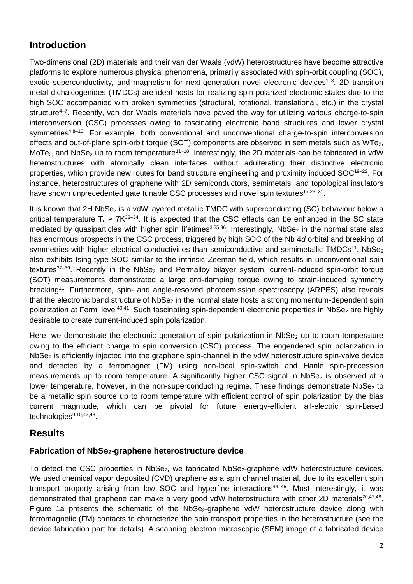# **Introduction**

Two-dimensional (2D) materials and their van der Waals (vdW) heterostructures have become attractive platforms to explore numerous physical phenomena, primarily associated with spin-orbit coupling (SOC), exotic superconductivity, and magnetism for next-generation novel electronic devices<sup>1-3</sup>. 2D transition metal dichalcogenides (TMDCs) are ideal hosts for realizing spin-polarized electronic states due to the high SOC accompanied with broken symmetries (structural, rotational, translational, etc.) in the crystal structure<sup>4–7</sup>. Recently, van der Waals materials have paved the way for utilizing various charge-to-spin interconversion (CSC) processes owing to fascinating electronic band structures and lower crystal symmetries<sup>4,8–10</sup>. For example, both conventional and unconventional charge-to-spin interconversion effects and out-of-plane spin-orbit torque (SOT) components are observed in semimetals such as WTe<sub>2</sub>, MoTe<sub>2</sub>, and NbSe<sub>2</sub> up to room temperature<sup>11–18</sup>. Interestingly, the 2D materials can be fabricated in vdW heterostructures with atomically clean interfaces without adulterating their distinctive electronic properties, which provide new routes for band structure engineering and proximity induced SOC<sup>19-22</sup>. For instance, heterostructures of graphene with 2D semiconductors, semimetals, and topological insulators have shown unprecedented gate tunable CSC processes and novel spin textures<sup>17,23-31</sup>.

It is known that 2H NbSe<sub>2</sub> is a vdW layered metallic TMDC with superconducting (SC) behaviour below a critical temperature  $T_c \approx 7K^{32-34}$ . It is expected that the CSC effects can be enhanced in the SC state mediated by quasiparticles with higher spin lifetimes<sup>3,35,36</sup>. Interestingly, NbSe<sub>2</sub> in the normal state also has enormous prospects in the CSC process, triggered by high SOC of the Nb 4*d* orbital and breaking of symmetries with higher electrical conductivities than semiconductive and semimetallic TMDCs<sup>11</sup>. NbSe<sub>2</sub> also exhibits Ising-type SOC similar to the intrinsic Zeeman field, which results in unconventional spin textures<sup>37-39</sup>. Recently in the NbSe<sub>2</sub> and Permalloy bilayer system, current-induced spin-orbit torque (SOT) measurements demonstrated a large anti-damping torque owing to strain-induced symmetry breaking<sup>11</sup>. Furthermore, spin- and angle-resolved photoemission spectroscopy (ARPES) also reveals that the electronic band structure of NbSe<sub>2</sub> in the normal state hosts a strong momentum-dependent spin polarization at Fermi level<sup>40,41</sup>. Such fascinating spin-dependent electronic properties in NbSe<sub>2</sub> are highly desirable to create current-induced spin polarization.

Here, we demonstrate the electronic generation of spin polarization in NbSe<sub>2</sub> up to room temperature owing to the efficient charge to spin conversion (CSC) process. The engendered spin polarization in NbSe<sub>2</sub> is efficiently injected into the graphene spin-channel in the vdW heterostructure spin-valve device and detected by a ferromagnet (FM) using non-local spin-switch and Hanle spin-precession measurements up to room temperature. A significantly higher CSC signal in NbSe<sub>2</sub> is observed at a lower temperature, however, in the non-superconducting regime. These findings demonstrate  $NbSe<sub>2</sub>$  to be a metallic spin source up to room temperature with efficient control of spin polarization by the bias current magnitude, which can be pivotal for future energy-efficient all-electric spin-based technologies<sup>9,10,42,43</sup>.

## **Results**

## **Fabrication of NbSe2-graphene heterostructure device**

To detect the CSC properties in NbSe<sub>2</sub>, we fabricated NbSe<sub>2</sub>-graphene vdW heterostructure devices. We used chemical vapor deposited (CVD) graphene as a spin channel material, due to its excellent spin transport property arising from low SOC and hyperfine interactions<sup>44–46</sup>. Most interestingly, it was demonstrated that graphene can make a very good vdW heterostructure with other 2D materials<sup>20,47,48</sup>. Figure 1a presents the schematic of the NbSe<sub>2</sub>-graphene vdW heterostructure device along with ferromagnetic (FM) contacts to characterize the spin transport properties in the heterostructure (see the device fabrication part for details). A scanning electron microscopic (SEM) image of a fabricated device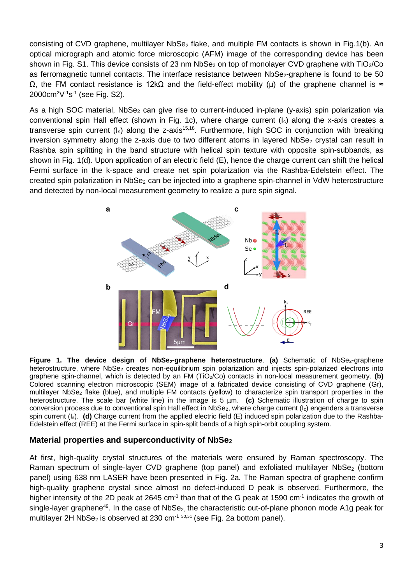consisting of CVD graphene, multilayer NbSe<sub>2</sub> flake, and multiple FM contacts is shown in Fig.1(b). An optical micrograph and atomic force microscopic (AFM) image of the corresponding device has been shown in Fig. S1. This device consists of 23 nm  $NbSe_2$  on top of monolayer CVD graphene with TiO<sub>2</sub>/Co as ferromagnetic tunnel contacts. The interface resistance between NbSe<sub>2</sub>-graphene is found to be 50  $Ω$ , the FM contact resistance is 12kΩ and the field-effect mobility (μ) of the graphene channel is  $≈$ 2000cm<sup>2</sup>V<sup>-1</sup>s<sup>-1</sup> (see Fig. S2).

As a high SOC material, NbSe<sub>2</sub> can give rise to current-induced in-plane (y-axis) spin polarization via conventional spin Hall effect (shown in Fig. 1c), where charge current (Ic) along the x-axis creates a transverse spin current  $(I_s)$  along the z-axis<sup>15,18</sup>. Furthermore, high SOC in conjunction with breaking inversion symmetry along the z-axis due to two different atoms in layered  $NbSe<sub>2</sub>$  crystal can result in Rashba spin splitting in the band structure with helical spin texture with opposite spin-subbands, as shown in Fig. 1(d). Upon application of an electric field (E), hence the charge current can shift the helical Fermi surface in the k-space and create net spin polarization via the Rashba-Edelstein effect. The created spin polarization in NbSe<sub>2</sub> can be injected into a graphene spin-channel in VdW heterostructure and detected by non-local measurement geometry to realize a pure spin signal.



Figure 1. The device design of NbSe<sub>2</sub>-graphene heterostructure. (a) Schematic of NbSe<sub>2</sub>-graphene heterostructure, where NbSe<sub>2</sub> creates non-equilibrium spin polarization and injects spin-polarized electrons into graphene spin-channel, which is detected by an FM (TiO<sub>2</sub>/Co) contacts in non-local measurement geometry. **(b)** Colored scanning electron microscopic (SEM) image of a fabricated device consisting of CVD graphene (Gr), multilayer NbSe<sup>2</sup> flake (blue), and multiple FM contacts (yellow) to characterize spin transport properties in the heterostructure. The scale bar (white line) in the image is 5 µm. **(c)** Schematic illustration of charge to spin conversion process due to conventional spin Hall effect in NbSe<sub>2</sub>, where charge current (I<sub>c</sub>) engenders a transverse spin current (I<sub>s</sub>). **(d)** Charge current from the applied electric field (E) induced spin polarization due to the Rashba-Edelstein effect (REE) at the Fermi surface in spin-split bands of a high spin-orbit coupling system.

### **Material properties and superconductivity of NbSe<sup>2</sup>**

At first, high-quality crystal structures of the materials were ensured by Raman spectroscopy. The Raman spectrum of single-layer CVD graphene (top panel) and exfoliated multilayer NbSe<sub>2</sub> (bottom panel) using 638 nm LASER have been presented in Fig. 2a. The Raman spectra of graphene confirm high-quality graphene crystal since almost no defect-induced D peak is observed. Furthermore, the higher intensity of the 2D peak at 2645 cm<sup>-1</sup> than that of the G peak at 1590 cm<sup>-1</sup> indicates the growth of single-layer graphene<sup>49</sup>. In the case of NbSe<sub>2,</sub> the characteristic out-of-plane phonon mode A1g peak for multilayer 2H NbSe<sub>2</sub> is observed at 230 cm<sup>-1 50,51</sup> (see Fig. 2a bottom panel).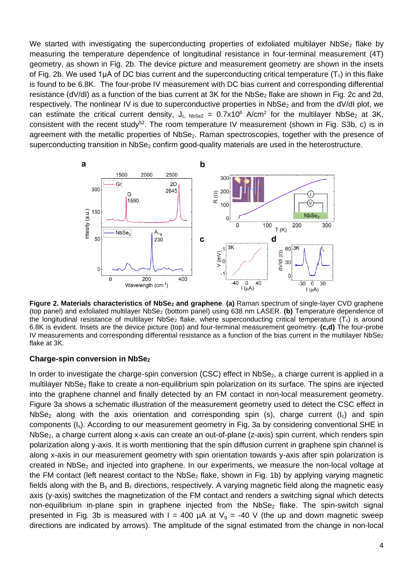We started with investigating the superconducting properties of exfoliated multilayer NbSe<sub>2</sub> flake by measuring the temperature dependence of longitudinal resistance in four-terminal measurement (4T) geometry, as shown in Fig. 2b. The device picture and measurement geometry are shown in the insets of Fig. 2b. We used 1µA of DC bias current and the superconducting critical temperature  $(T_c)$  in this flake is found to be 6.8K. The four-probe IV measurement with DC bias current and corresponding differential resistance (dV/dI) as a function of the bias current at 3K for the NbSe<sub>2</sub> flake are shown in Fig. 2c and 2d, respectively. The nonlinear IV is due to superconductive properties in  $NbSe_2$  and from the dV/dI plot, we can estimate the critical current density,  $J_{c, NbSe2} = 0.7 \times 10^6$  A/cm<sup>2</sup> for the multilayer NbSe<sub>2</sub> at 3K, consistent with the recent study<sup>52</sup>. The room temperature IV measurement (shown in Fig. S3b, c) is in agreement with the metallic properties of NbSe<sub>2</sub>. Raman spectroscopies, together with the presence of superconducting transition in NbSe<sub>2</sub> confirm good-quality materials are used in the heterostructure.



**Figure 2. Materials characteristics of NbSe<sup>2</sup> and graphene**. **(a)** Raman spectrum of single-layer CVD graphene (top panel) and exfoliated multilayer NbSe<sup>2</sup> (bottom panel) using 638 nm LASER. **(b)** Temperature dependence of the longitudinal resistance of multilayer NbSe<sub>2</sub> flake, where superconducting critical temperature ( $T_c$ ) is around 6.8K is evident. Insets are the device picture (top) and four-terminal measurement geometry. **(c,d)** The four-probe IV measurements and corresponding differential resistance as a function of the bias current in the multilayer NbSe<sub>2</sub> flake at 3K.

#### **Charge-spin conversion in NbSe<sup>2</sup>**

In order to investigate the charge-spin conversion (CSC) effect in  $NbSe<sub>2</sub>$ , a charge current is applied in a multilayer NbSe<sub>2</sub> flake to create a non-equilibrium spin polarization on its surface. The spins are injected into the graphene channel and finally detected by an FM contact in non-local measurement geometry. Figure 3a shows a schematic illustration of the measurement geometry used to detect the CSC effect in NbSe<sub>2</sub> along with the axis orientation and corresponding spin (s), charge current ( $I_c$ ) and spin components (Is). According to our measurement geometry in Fig. 3a by considering conventional SHE in NbSe<sub>2</sub>, a charge current along x-axis can create an out-of-plane (z-axis) spin current, which renders spin polarization along y-axis. It is worth mentioning that the spin diffusion current in graphene spin channel is along x-axis in our measurement geometry with spin orientation towards y-axis after spin polarization is created in NbSe<sub>2</sub> and injected into graphene. In our experiments, we measure the non-local voltage at the FM contact (left nearest contact to the  $NbSe<sub>2</sub>$  flake, shown in Fig. 1b) by applying varying magnetic fields along with the  $B<sub>v</sub>$  and  $B<sub>z</sub>$  directions, respectively. A varying magnetic field along the magnetic easy axis (y-axis) switches the magnetization of the FM contact and renders a switching signal which detects non-equilibrium in-plane spin in graphene injected from the  $NbSe<sub>2</sub>$  flake. The spin-switch signal presented in Fig. 3b is measured with I = 400  $\mu$ A at V<sub>g</sub> = -40 V (the up and down magnetic sweep directions are indicated by arrows). The amplitude of the signal estimated from the change in non-local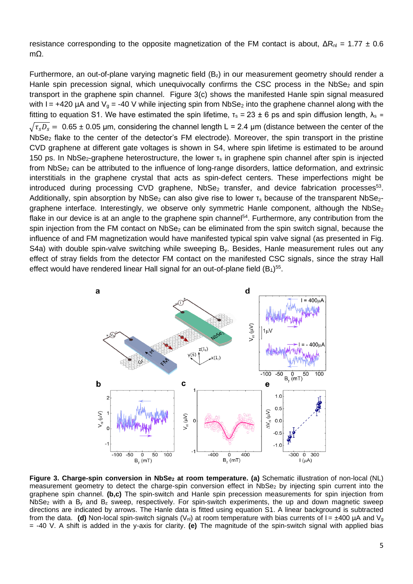resistance corresponding to the opposite magnetization of the FM contact is about,  $\Delta R_{nl} = 1.77 \pm 0.6$ mΩ.

Furthermore, an out-of-plane varying magnetic field  $(B<sub>z</sub>)$  in our measurement geometry should render a Hanle spin precession signal, which unequivocally confirms the CSC process in the  $NbSe<sub>2</sub>$  and spin transport in the graphene spin channel. Figure 3(c) shows the manifested Hanle spin signal measured with I = +420  $\mu$ A and V<sub>g</sub> = -40 V while injecting spin from NbSe<sub>2</sub> into the graphene channel along with the fitting to equation S1. We have estimated the spin lifetime,  $τ_s = 23 ± 6$  ps and spin diffusion length,  $λ_s =$  $\sqrt{\tau_s D_s}$  = 0.65 ± 0.05 µm, considering the channel length L = 2.4 µm (distance between the center of the NbSe<sub>2</sub> flake to the center of the detector's FM electrode). Moreover, the spin transport in the pristine CVD graphene at different gate voltages is shown in S4, where spin lifetime is estimated to be around 150 ps. In NbSe<sub>2</sub>-graphene heterostructure, the lower  $\tau_s$  in graphene spin channel after spin is injected from NbSe<sub>2</sub> can be attributed to the influence of long-range disorders, lattice deformation, and extrinsic interstitials in the graphene crystal that acts as spin-defect centers. These imperfections might be introduced during processing CVD graphene,  $NbSe_2$  transfer, and device fabrication processes<sup>53</sup>. Additionally, spin absorption by NbSe<sub>2</sub> can also give rise to lower  $\tau_s$  because of the transparent NbSe<sub>2</sub>graphene interface. Interestingly, we observe only symmetric Hanle component, although the NbSe<sub>2</sub> flake in our device is at an angle to the graphene spin channel<sup>54</sup>. Furthermore, any contribution from the spin injection from the FM contact on NbSe<sub>2</sub> can be eliminated from the spin switch signal, because the influence of and FM magnetization would have manifested typical spin valve signal (as presented in Fig. S4a) with double spin-valve switching while sweeping B<sub>y</sub>. Besides, Hanle measurement rules out any effect of stray fields from the detector FM contact on the manifested CSC signals, since the stray Hall effect would have rendered linear Hall signal for an out-of-plane field  $(B_1)^{55}$ .



**Figure 3. Charge-spin conversion in NbSe<sup>2</sup> at room temperature. (a)** Schematic illustration of non-local (NL) measurement geometry to detect the charge-spin conversion effect in NbSe<sub>2</sub> by injecting spin current into the graphene spin channel. **(b,c)** The spin-switch and Hanle spin precession measurements for spin injection from NbSe<sub>2</sub> with a B<sub>y</sub> and B<sub>z</sub> sweep, respectively. For spin-switch experiments, the up and down magnetic sweep directions are indicated by arrows. The Hanle data is fitted using equation S1. A linear background is subtracted from the data. **(d)** Non-local spin-switch signals  $(V_{nl})$  at room temperature with bias currents of  $I = \pm 400 \mu A$  and  $V_q$ = -40 V. A shift is added in the y-axis for clarity. **(e)** The magnitude of the spin-switch signal with applied bias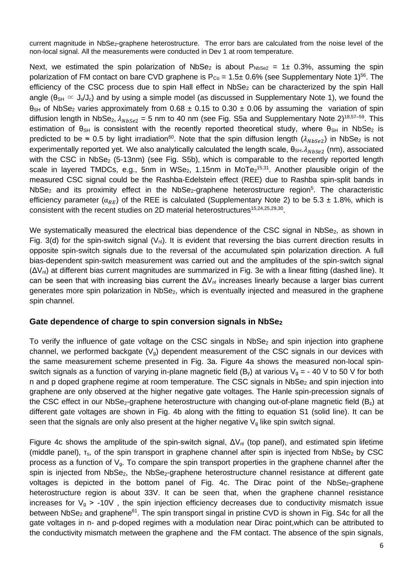current magnitude in NbSe<sub>2</sub>-graphene heterostructure. The error bars are calculated from the noise level of the non-local signal. All the measurements were conducted in Dev 1 at room temperature.

Next, we estimated the spin polarization of NbSe<sub>2</sub> is about  $P_{NbSe2} = 1 \pm 0.3$ %, assuming the spin polarization of FM contact on bare CVD graphene is  $P_{Co} = 1.5 \pm 0.6\%$  (see Supplementary Note 1)<sup>56</sup>. The efficiency of the CSC process due to spin Hall effect in NbSe<sub>2</sub> can be characterized by the spin Hall angle ( $\theta_{\text{SH}} \propto J_s/J_c$ ) and by using a simple model (as discussed in Supplementary Note 1), we found the  $\theta_{\text{SH}}$  of NbSe<sub>2</sub> varies approximately from 0.68  $\pm$  0.15 to 0.30  $\pm$  0.06 by assuming the variation of spin diffusion length in NbSe<sub>2</sub>,  $\lambda_{NbSe2}$  = 5 nm to 40 nm (see Fig. S5a and Supplementary Note 2)<sup>18,57–59</sup>. This estimation of  $\theta_{\text{SH}}$  is consistent with the recently reported theoretical study, where  $\theta_{\text{SH}}$  in NbSe<sub>2</sub> is predicted to be ≈ 0.5 by light irradiation<sup>60</sup>. Note that the spin diffusion length ( $\lambda_{NbSe2}$ ) in NbSe<sub>2</sub> is not experimentally reported yet. We also analytically calculated the length scale,  $\theta_{\text{SH}}.\lambda_{NbSe2}$  (nm), associated with the CSC in NbSe<sub>2</sub> (5-13nm) (see Fig. S5b), which is comparable to the recently reported length scale in layered TMDCs, e.g., 5nm in WSe<sub>2</sub>, 1.15nm in MoTe<sub>2</sub><sup>15,31</sup>. Another plausible origin of the measured CSC signal could be the Rashba-Edelstein effect (REE) due to Rashba spin-split bands in NbSe<sub>2</sub> and its proximity effect in the NbSe<sub>2</sub>-graphene heterostructure region<sup>5</sup>. The characteristic efficiency parameter ( $\alpha_{RE}$ ) of the REE is calculated (Supplementary Note 2) to be 5.3 ± 1.8%, which is consistent with the recent studies on 2D material heterostructures<sup>15,24,25,29,30</sup>.

We systematically measured the electrical bias dependence of the CSC signal in NbSe<sub>2</sub>, as shown in Fig. 3(d) for the spin-switch signal  $(V_{nl})$ . It is evident that reversing the bias current direction results in opposite spin-switch signals due to the reversal of the accumulated spin polarization direction. A full bias-dependent spin-switch measurement was carried out and the amplitudes of the spin-switch signal  $(\Delta V_{\rm pl})$  at different bias current magnitudes are summarized in Fig. 3e with a linear fitting (dashed line). It can be seen that with increasing bias current the  $\Delta V_{nl}$  increases linearly because a larger bias current generates more spin polarization in NbSe<sub>2</sub>, which is eventually injected and measured in the graphene spin channel.

### **Gate dependence of charge to spin conversion signals in NbSe<sup>2</sup>**

To verify the influence of gate voltage on the CSC singals in  $NbSe<sub>2</sub>$  and spin injection into graphene channel, we performed backgate  $(V_q)$  dependent measurement of the CSC signals in our devices with the same measurement scheme presented in Fig. 3a. Figure 4a shows the measured non-local spinswitch signals as a function of varying in-plane magnetic field (B<sub>y</sub>) at various  $V_g = -40$  V to 50 V for both n and p doped graphene regime at room temperature. The CSC signals in NbSe<sub>2</sub> and spin injection into graphene are only observed at the higher negative gate voltages. The Hanle spin-precession signals of the CSC effect in our NbSe<sub>2</sub>-graphene heterostructure with changing out-of-plane magnetic field ( $B<sub>z</sub>$ ) at different gate voltages are shown in Fig. 4b along with the fitting to equation S1 (solid line). It can be seen that the signals are only also present at the higher negative  $V_q$  like spin switch signal.

Figure 4c shows the amplitude of the spin-switch signal,  $\Delta V_{nl}$  (top panel), and estimated spin lifetime (middle panel),  $T_s$ , of the spin transport in graphene channel after spin is injected from NbSe<sub>2</sub> by CSC process as a function of  $V<sub>g</sub>$ . To compare the spin transport properties in the graphene channel after the spin is injected from NbSe<sub>2</sub>, the NbSe<sub>2</sub>-graphene heterostructure channel resistance at different gate voltages is depicted in the bottom panel of Fig. 4c. The Dirac point of the  $NbSe<sub>2</sub>$ -graphene heterostructure region is about 33V. It can be seen that, when the graphene channel resistance increases for  $V_q > -10V$ , the spin injection efficiency decreases due to conductivity mismatch issue between NbSe<sub>2</sub> and graphene<sup>61</sup>. The spin transport singal in pristine CVD is shown in Fig. S4c for all the gate voltages in n- and p-doped regimes with a modulation near Dirac point,which can be attributed to the conductivity mismatch metween the graphene and the FM contact. The absence of the spin signals,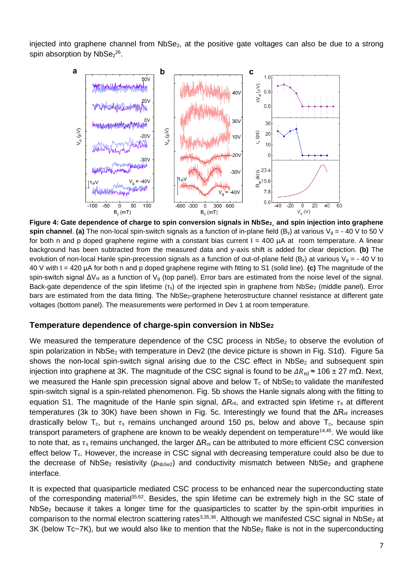injected into graphene channel from NbSe<sub>2</sub>, at the positive gate voltages can also be due to a strong spin absorption by  $NbSe<sub>2</sub><sup>26</sup>$ .



**Figure 4: Gate dependence of charge to spin conversion signals in NbSe2¸ and spin injection into graphene spin channel. (a)** The non-local spin-switch signals as a function of in-plane field (B<sub>y</sub>) at various  $V_g = -40$  V to 50 V for both n and p doped graphene regime with a constant bias current  $I = 400 \mu A$  at room temperature. A linear background has been subtracted from the measured data and y-axis shift is added for clear depiction. **(b)** The evolution of non-local Hanle spin-precession signals as a function of out-of-plane field ( $B_z$ ) at various  $V_g = -40 V$  to 40 V with I = 420 µA for both n and p doped graphene regime with fitting to S1 (solid line). **(c)** The magnitude of the spin-switch signal ΔV<sub>nl</sub> as a function of V<sub>g</sub> (top panel). Error bars are estimated from the noise level of the signal. Back-gate dependence of the spin lifetime (τ<sub>s</sub>) of the injected spin in graphene from NbSe<sub>2</sub> (middle panel). Error bars are estimated from the data fitting. The NbSe<sub>2</sub>-graphene heterostructure channel resistance at different gate voltages (bottom panel). The measurements were performed in Dev 1 at room temperature.

### **Temperature dependence of charge-spin conversion in NbSe<sup>2</sup>**

We measured the temperature dependence of the CSC process in NbSe<sub>2</sub> to observe the evolution of spin polarization in NbSe<sub>2</sub> with temperature in Dev2 (the device picture is shown in Fig. S1d). Figure 5a shows the non-local spin-switch signal arising due to the CSC effect in  $NbSe<sub>2</sub>$  and subsequent spin injection into graphene at 3K. The magnitude of the CSC signal is found to be  $\Delta R_{nl} \approx 106 \pm 27$  mΩ. Next, we measured the Hanle spin precession signal above and below  $T_c$  of NbSe<sub>2</sub> to validate the manifested spin-switch signal is a spin-related phenomenon. Fig. 5b shows the Hanle signals along with the fitting to equation S1. The magnitude of the Hanle spin signal,  $\Delta R_{nl}$ , and extracted spin lifetime  $\tau_s$  at different temperatures (3k to 30K) have been shown in Fig. 5c. Interestingly we found that the  $ΔR<sub>nl</sub>$  increases drastically below T<sub>c</sub>, but  $\tau_s$  remains unchanged around 150 ps, below and above T<sub>c</sub>, because spin transport parameters of graphene are known to be weakly dependent on temperature<sup>14,45</sup>. We would like to note that, as  $\tau_s$  remains unchanged, the larger  $\Delta R_{nl}$  can be attributed to more efficient CSC conversion effect below  $T_c$ . However, the increase in CSC signal with decreasing temperature could also be due to the decrease of NbSe<sub>2</sub> resistivity ( $\rho_{NbSe2}$ ) and conductivity mismatch between NbSe<sub>2</sub> and graphene interface.

It is expected that quasiparticle mediated CSC process to be enhanced near the superconducting state of the corresponding material<sup>35,62</sup>. Besides, the spin lifetime can be extremely high in the SC state of NbSe<sup>2</sup> because it takes a longer time for the quasiparticles to scatter by the spin-orbit impurities in comparison to the normal electron scattering rates<sup>3,35,36</sup>. Although we manifested CSC signal in NbSe<sub>2</sub> at  $3K$  (below Tc~7K), but we would also like to mention that the NbSe<sub>2</sub> flake is not in the superconducting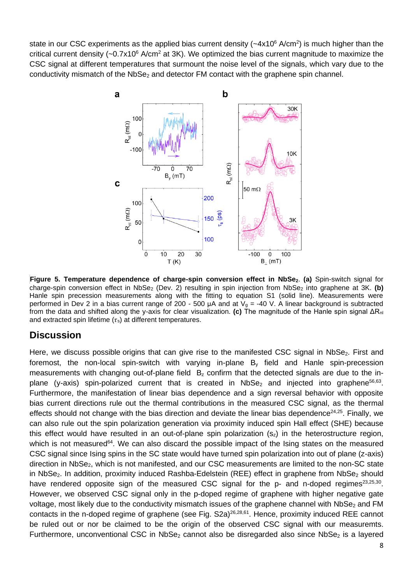state in our CSC experiments as the applied bias current density ( $\sim$ 4x10 $^6$  A/cm<sup>2</sup>) is much higher than the critical current density  $(-0.7x10^6 \text{ A/cm}^2$  at 3K). We optimized the bias current magnitude to maximize the CSC signal at different temperatures that surmount the noise level of the signals, which vary due to the conductivity mismatch of the NbSe<sub>2</sub> and detector FM contact with the graphene spin channel.



**Figure 5. Temperature dependence of charge-spin conversion effect in NbSe2**. **(a)** Spin-switch signal for charge-spin conversion effect in NbSe<sub>2</sub> (Dev. 2) resulting in spin injection from NbSe<sub>2</sub> into graphene at 3K. (b) Hanle spin precession measurements along with the fitting to equation S1 (solid line). Measurements were performed in Dev 2 in a bias current range of 200 - 500  $\mu$ A and at V<sub>g</sub> = -40 V. A linear background is subtracted from the data and shifted along the y-axis for clear visualization. **(c)** The magnitude of the Hanle spin signal ΔRnl and extracted spin lifetime  $(\tau_s)$  at different temperatures.

## **Discussion**

Here, we discuss possible origins that can give rise to the manifested CSC signal in NbSe<sub>2</sub>. First and foremost, the non-local spin-switch with varying in-plane B<sup>y</sup> field and Hanle spin-precession measurements with changing out-of-plane field  $B<sub>z</sub>$  confirm that the detected signals are due to the inplane (y-axis) spin-polarized current that is created in NbSe<sub>2</sub> and injected into graphene<sup>56,63</sup>. Furthermore, the manifestation of linear bias dependence and a sign reversal behavior with opposite bias current directions rule out the thermal contributions in the measured CSC signal, as the thermal effects should not change with the bias direction and deviate the linear bias dependence<sup>24,25</sup>. Finally, we can also rule out the spin polarization generation via proximity induced spin Hall effect (SHE) because this effect would have resulted in an out-of-plane spin polarization  $(s<sub>z</sub>)$  in the heterostructure region, which is not measured<sup>64</sup>. We can also discard the possible impact of the Ising states on the measured CSC signal since Ising spins in the SC state would have turned spin polarization into out of plane (z-axis) direction in NbSe<sub>2</sub>, which is not manifested, and our CSC measurements are limited to the non-SC state in NbSe<sub>2</sub>. In addition, proximity induced Rashba-Edelstein (REE) effect in graphene from NbSe<sub>2</sub> should have rendered opposite sign of the measured CSC signal for the  $p$ - and n-doped regimes<sup>23,25,30</sup>. However, we observed CSC signal only in the p-doped regime of graphene with higher negative gate voltage, most likely due to the conductivity mismatch issues of the graphene channel with NbSe<sub>2</sub> and FM contacts in the n-doped regime of graphene (see Fig. S2a)<sup>26,28,61</sup>. Hence, proximity induced REE cannot be ruled out or nor be claimed to be the origin of the observed CSC signal with our measuremts. Furthermore, unconventional CSC in NbSe<sub>2</sub> cannot also be disregarded also since NbSe<sub>2</sub> is a layered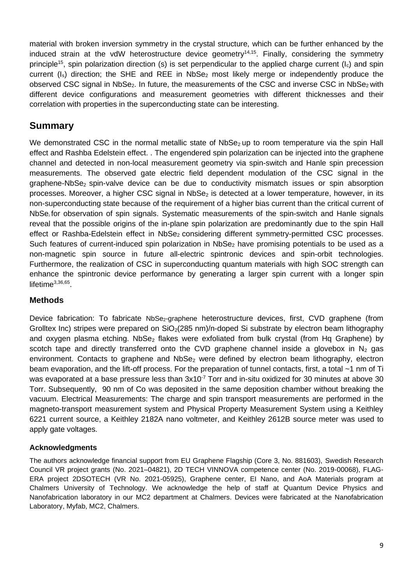material with broken inversion symmetry in the crystal structure, which can be further enhanced by the induced strain at the vdW heterostructure device geometry<sup>14,15</sup>. Finally, considering the symmetry principle<sup>15</sup>, spin polarization direction (s) is set perpendicular to the applied charge current (l<sub>c</sub>) and spin current  $(I_s)$  direction; the SHE and REE in NbSe<sub>2</sub> most likely merge or independently produce the observed CSC signal in NbSe<sub>2</sub>. In future, the measurements of the CSC and inverse CSC in NbSe<sub>2</sub> with different device configurations and measurement geometries with different thicknesses and their correlation with properties in the superconducting state can be interesting.

## **Summary**

We demonstrated CSC in the normal metallic state of  $NbSe_2$  up to room temperature via the spin Hall effect and Rashba Edelstein effect. . The engendered spin polarization can be injected into the graphene channel and detected in non-local measurement geometry via spin-switch and Hanle spin precession measurements. The observed gate electric field dependent modulation of the CSC signal in the graphene-NbSe<sub>2</sub> spin-valve device can be due to conductivity mismatch issues or spin absorption processes. Moreover, a higher CSC signal in NbSe<sub>2</sub> is detected at a lower temperature, however, in its non-superconducting state because of the requirement of a higher bias current than the critical current of NbSe<sub>2</sub> for observation of spin signals. Systematic measurements of the spin-switch and Hanle signals reveal that the possible origins of the in-plane spin polarization are predominantly due to the spin Hall effect or Rashba-Edelstein effect in NbSe<sub>2</sub> considering different symmetry-permitted CSC processes. Such features of current-induced spin polarization in NbSe<sub>2</sub> have promising potentials to be used as a non-magnetic spin source in future all-electric spintronic devices and spin-orbit technologies. Furthermore, the realization of CSC in superconducting quantum materials with high SOC strength can enhance the spintronic device performance by generating a larger spin current with a longer spin lifetime<sup>3,36,65</sup>.

## **Methods**

Device fabrication: To fabricate NbSe<sub>2</sub>-graphene heterostructure devices, first, CVD graphene (from Grolltex Inc) stripes were prepared on  $SiO<sub>2</sub>(285 nm)/n$ -doped Si substrate by electron beam lithography and oxygen plasma etching. NbSe<sub>2</sub> flakes were exfoliated from bulk crystal (from Hq Graphene) by scotch tape and directly transferred onto the CVD graphene channel inside a glovebox in  $N_2$  gas environment. Contacts to graphene and NbSe<sub>2</sub> were defined by electron beam lithography, electron beam evaporation, and the lift-off process. For the preparation of tunnel contacts, first, a total ~1 nm of Ti was evaporated at a base pressure less than  $3x10^{-7}$  Torr and in-situ oxidized for 30 minutes at above 30 Torr. Subsequently, 90 nm of Co was deposited in the same deposition chamber without breaking the vacuum. Electrical Measurements: The charge and spin transport measurements are performed in the magneto-transport measurement system and Physical Property Measurement System using a Keithley 6221 current source, a Keithley 2182A nano voltmeter, and Keithley 2612B source meter was used to apply gate voltages.

## **Acknowledgments**

The authors acknowledge financial support from EU Graphene Flagship (Core 3, No. 881603), Swedish Research Council VR project grants (No. 2021–04821), 2D TECH VINNOVA competence center (No. 2019-00068), FLAG-ERA project 2DSOTECH (VR No. 2021-05925), Graphene center, EI Nano, and AoA Materials program at Chalmers University of Technology. We acknowledge the help of staff at Quantum Device Physics and Nanofabrication laboratory in our MC2 department at Chalmers. Devices were fabricated at the Nanofabrication Laboratory, Myfab, MC2, Chalmers.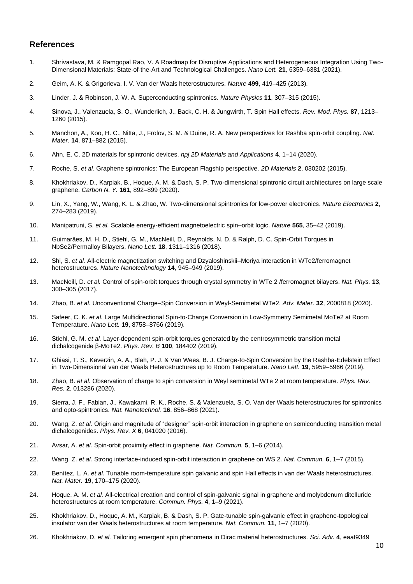#### **References**

- 1. Shrivastava, M. & Ramgopal Rao, V. A Roadmap for Disruptive Applications and Heterogeneous Integration Using Two-Dimensional Materials: State-of-the-Art and Technological Challenges. *Nano Lett.* **21**, 6359–6381 (2021).
- 2. Geim, A. K. & Grigorieva, I. V. Van der Waals heterostructures. *Nature* **499**, 419–425 (2013).
- 3. Linder, J. & Robinson, J. W. A. Superconducting spintronics. *Nature Physics* **11**, 307–315 (2015).
- 4. Sinova, J., Valenzuela, S. O., Wunderlich, J., Back, C. H. & Jungwirth, T. Spin Hall effects. *Rev. Mod. Phys.* **87**, 1213– 1260 (2015).
- 5. Manchon, A., Koo, H. C., Nitta, J., Frolov, S. M. & Duine, R. A. New perspectives for Rashba spin-orbit coupling. *Nat. Mater.* **14**, 871–882 (2015).
- 6. Ahn, E. C. 2D materials for spintronic devices. *npj 2D Materials and Applications* **4**, 1–14 (2020).
- 7. Roche, S. *et al.* Graphene spintronics: The European Flagship perspective. *2D Materials* **2**, 030202 (2015).
- 8. Khokhriakov, D., Karpiak, B., Hoque, A. M. & Dash, S. P. Two-dimensional spintronic circuit architectures on large scale graphene. *Carbon N. Y.* **161**, 892–899 (2020).
- 9. Lin, X., Yang, W., Wang, K. L. & Zhao, W. Two-dimensional spintronics for low-power electronics. *Nature Electronics* **2**, 274–283 (2019).
- 10. Manipatruni, S. *et al.* Scalable energy-efficient magnetoelectric spin–orbit logic. *Nature* **565**, 35–42 (2019).
- 11. Guimarães, M. H. D., Stiehl, G. M., MacNeill, D., Reynolds, N. D. & Ralph, D. C. Spin-Orbit Torques in NbSe2/Permalloy Bilayers. *Nano Lett.* **18**, 1311–1316 (2018).
- 12. Shi, S. *et al.* All-electric magnetization switching and Dzyaloshinskii–Moriya interaction in WTe2/ferromagnet heterostructures. *Nature Nanotechnology* **14**, 945–949 (2019).
- 13. MacNeill, D. *et al.* Control of spin-orbit torques through crystal symmetry in WTe 2 /ferromagnet bilayers. *Nat. Phys.* **13**, 300–305 (2017).
- 14. Zhao, B. *et al.* Unconventional Charge–Spin Conversion in Weyl-Semimetal WTe2. *Adv. Mater.* **32**, 2000818 (2020).
- 15. Safeer, C. K. *et al.* Large Multidirectional Spin-to-Charge Conversion in Low-Symmetry Semimetal MoTe2 at Room Temperature. *Nano Lett.* **19**, 8758–8766 (2019).
- 16. Stiehl, G. M. *et al.* Layer-dependent spin-orbit torques generated by the centrosymmetric transition metal dichalcogenide β-MoTe2. *Phys. Rev. B* **100**, 184402 (2019).
- 17. Ghiasi, T. S., Kaverzin, A. A., Blah, P. J. & Van Wees, B. J. Charge-to-Spin Conversion by the Rashba-Edelstein Effect in Two-Dimensional van der Waals Heterostructures up to Room Temperature. *Nano Lett.* **19**, 5959–5966 (2019).
- 18. Zhao, B. *et al.* Observation of charge to spin conversion in Weyl semimetal WTe 2 at room temperature. *Phys. Rev. Res.* **2**, 013286 (2020).
- 19. Sierra, J. F., Fabian, J., Kawakami, R. K., Roche, S. & Valenzuela, S. O. Van der Waals heterostructures for spintronics and opto-spintronics. *Nat. Nanotechnol.* **16**, 856–868 (2021).
- 20. Wang, Z. *et al.* Origin and magnitude of "designer" spin-orbit interaction in graphene on semiconducting transition metal dichalcogenides. *Phys. Rev. X* **6**, 041020 (2016).
- 21. Avsar, A. *et al.* Spin-orbit proximity effect in graphene. *Nat. Commun.* **5**, 1–6 (2014).
- 22. Wang, Z. *et al.* Strong interface-induced spin-orbit interaction in graphene on WS 2. *Nat. Commun.* **6**, 1–7 (2015).
- 23. Benítez, L. A. *et al.* Tunable room-temperature spin galvanic and spin Hall effects in van der Waals heterostructures. *Nat. Mater.* **19**, 170–175 (2020).
- 24. Hoque, A. M. *et al.* All-electrical creation and control of spin-galvanic signal in graphene and molybdenum ditelluride heterostructures at room temperature. *Commun. Phys.* **4**, 1–9 (2021).
- 25. Khokhriakov, D., Hoque, A. M., Karpiak, B. & Dash, S. P. Gate-tunable spin-galvanic effect in graphene-topological insulator van der Waals heterostructures at room temperature. *Nat. Commun.* **11**, 1–7 (2020).
- 26. Khokhriakov, D. *et al.* Tailoring emergent spin phenomena in Dirac material heterostructures. *Sci. Adv.* **4**, eaat9349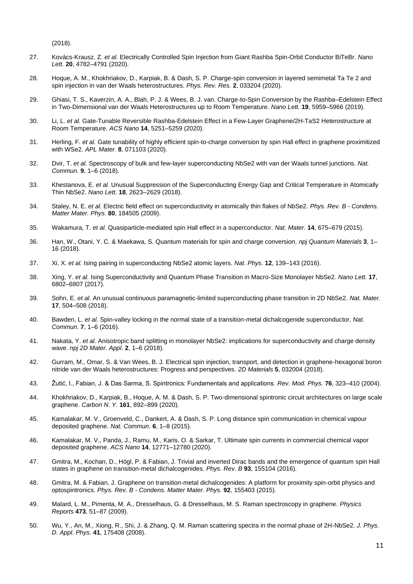```
(2018).
```
- 27. Kovács-Krausz, Z. *et al.* Electrically Controlled Spin Injection from Giant Rashba Spin-Orbit Conductor BiTeBr. *Nano Lett.* **20**, 4782–4791 (2020).
- 28. Hoque, A. M., Khokhriakov, D., Karpiak, B. & Dash, S. P. Charge-spin conversion in layered semimetal Ta Te 2 and spin injection in van der Waals heterostructures. *Phys. Rev. Res.* **2**, 033204 (2020).
- 29. Ghiasi, T. S., Kaverzin, A. A., Blah, P. J. & Wees, B. J. van. Charge-to-Spin Conversion by the Rashba–Edelstein Effect in Two-Dimensional van der Waals Heterostructures up to Room Temperature. *Nano Lett.* **19**, 5959–5966 (2019).
- 30. Li, L. *et al.* Gate-Tunable Reversible Rashba-Edelstein Effect in a Few-Layer Graphene/2H-TaS2 Heterostructure at Room Temperature. *ACS Nano* **14**, 5251–5259 (2020).
- 31. Herling, F. *et al.* Gate tunability of highly efficient spin-to-charge conversion by spin Hall effect in graphene proximitized with WSe2. *APL Mater.* **8**, 071103 (2020).
- 32. Dvir, T. *et al.* Spectroscopy of bulk and few-layer superconducting NbSe2 with van der Waals tunnel junctions. *Nat. Commun.* **9**, 1–6 (2018).
- 33. Khestanova, E. *et al.* Unusual Suppression of the Superconducting Energy Gap and Critical Temperature in Atomically Thin NbSe2. *Nano Lett.* **18**, 2623–2629 (2018).
- 34. Staley, N. E. *et al.* Electric field effect on superconductivity in atomically thin flakes of NbSe2. *Phys. Rev. B - Condens. Matter Mater. Phys.* **80**, 184505 (2009).
- 35. Wakamura, T. *et al.* Quasiparticle-mediated spin Hall effect in a superconductor. *Nat. Mater.* **14**, 675–679 (2015).
- 36. Han, W., Otani, Y. C. & Maekawa, S. Quantum materials for spin and charge conversion. *npj Quantum Materials* **3**, 1– 16 (2018).
- 37. Xi, X. *et al.* Ising pairing in superconducting NbSe2 atomic layers. *Nat. Phys.* **12**, 139–143 (2016).
- 38. Xing, Y. *et al.* Ising Superconductivity and Quantum Phase Transition in Macro-Size Monolayer NbSe2. *Nano Lett.* **17**, 6802–6807 (2017).
- 39. Sohn, E. *et al.* An unusual continuous paramagnetic-limited superconducting phase transition in 2D NbSe2. *Nat. Mater.* **17**, 504–508 (2018).
- 40. Bawden, L. *et al.* Spin-valley locking in the normal state of a transition-metal dichalcogenide superconductor. *Nat. Commun.* **7**, 1–6 (2016).
- 41. Nakata, Y. *et al.* Anisotropic band splitting in monolayer NbSe2: implications for superconductivity and charge density wave. *npj 2D Mater. Appl.* **2**, 1–6 (2018).
- 42. Gurram, M., Omar, S. & Van Wees, B. J. Electrical spin injection, transport, and detection in graphene-hexagonal boron nitride van der Waals heterostructures: Progress and perspectives. *2D Materials* **5**, 032004 (2018).
- 43. Žutić, I., Fabian, J. & Das Sarma, S. Spintronics: Fundamentals and applications. *Rev. Mod. Phys.* **76**, 323–410 (2004).
- 44. Khokhriakov, D., Karpiak, B., Hoque, A. M. & Dash, S. P. Two-dimensional spintronic circuit architectures on large scale graphene. *Carbon N. Y.* **161**, 892–899 (2020).
- 45. Kamalakar, M. V., Groenveld, C., Dankert, A. & Dash, S. P. Long distance spin communication in chemical vapour deposited graphene. *Nat. Commun.* **6**, 1–8 (2015).
- 46. Kamalakar, M. V., Panda, J., Ramu, M., Karis, O. & Sarkar, T. Ultimate spin currents in commercial chemical vapor deposited graphene. *ACS Nano* **14**, 12771–12780 (2020).
- 47. Gmitra, M., Kochan, D., Högl, P. & Fabian, J. Trivial and inverted Dirac bands and the emergence of quantum spin Hall states in graphene on transition-metal dichalcogenides. *Phys. Rev. B* **93**, 155104 (2016).
- 48. Gmitra, M. & Fabian, J. Graphene on transition-metal dichalcogenides: A platform for proximity spin-orbit physics and optospintronics. *Phys. Rev. B - Condens. Matter Mater. Phys.* **92**, 155403 (2015).
- 49. Malard, L. M., Pimenta, M. A., Dresselhaus, G. & Dresselhaus, M. S. Raman spectroscopy in graphene. *Physics Reports* **473**, 51–87 (2009).
- 50. Wu, Y., An, M., Xiong, R., Shi, J. & Zhang, Q. M. Raman scattering spectra in the normal phase of 2H-NbSe2. *J. Phys. D. Appl. Phys.* **41**, 175408 (2008).